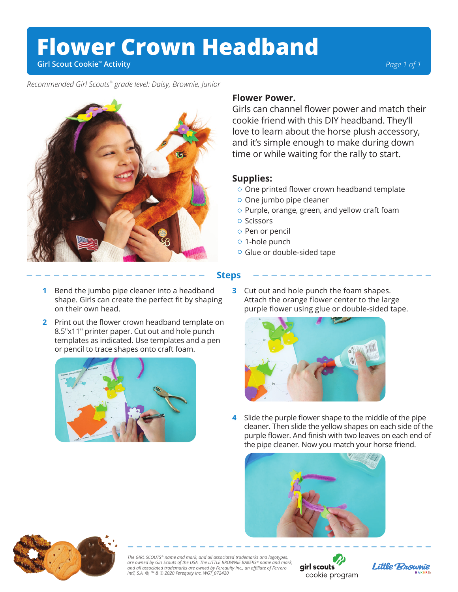## **Flower Crown Headband**

**Girl Scout Cookie™ Activity**

*Recommended Girl Scouts® grade level: Daisy, Brownie, Junior* 



## **Flower Power.**

Girls can channel flower power and match their cookie friend with this DIY headband. They'll love to learn about the horse plush accessory, and it's simple enough to make during down time or while waiting for the rally to start.

## **Supplies:**

- $\circ$  One printed flower crown headband template
- One jumbo pipe cleaner
- o Purple, orange, green, and yellow craft foam
- o Scissors
- o Pen or pencil
- o 1-hole punch
- Glue or double-sided tape

## **Steps**

- **1** Bend the jumbo pipe cleaner into a headband **3** shape. Girls can create the perfect fit by shaping on their own head.
- **2** Print out the flower crown headband template on 8.5″x11″ printer paper. Cut out and hole punch templates as indicated. Use templates and a pen or pencil to trace shapes onto craft foam.



**3** Cut out and hole punch the foam shapes. Attach the orange flower center to the large purple flower using glue or double-sided tape.



Slide the purple flower shape to the middle of the pipe cleaner. Then slide the yellow shapes on each side of the purple flower. And finish with two leaves on each end of the pipe cleaner. Now you match your horse friend. **4**





*The GIRL SCOUTS® name and mark, and all associated trademarks and logotypes, are owned by Girl Scouts of the USA. The LITTLE BROWNIE BAKERS® name and mark, and all associated trademarks are owned by Ferequity Inc., an affiliate of Ferrero Int'l, S.A. ®, ™ & © 2020 Ferequity Inc. WGT\_072420*

girl scouts cookie program



*Page 1 of 1*